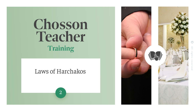# Chosson Teacher Training

#### Laws of Harchakos



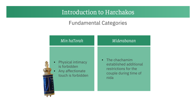#### Fundamental Categories

| Min haTorah         | Miderabanan            |  |  |
|---------------------|------------------------|--|--|
| • Physical intimacy | • The chachamim        |  |  |
| is forbidden        | established additional |  |  |
| Any affectionate    | restrictions for the   |  |  |
| $\bullet$           | couple during time of  |  |  |
| touch is forbidden  | nida                   |  |  |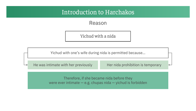Reason

Yichud with a nida

Yichud with one's wife during nida is permitted because…

He was intimate with her previously

Her nida prohibition is temporary

Therefore, if she became nida before they were ever intimate — e.g. chupas nida — yichud is forbidden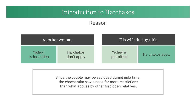#### Reason

| Another woman          |                                 | His wife during nida   |                 |  |
|------------------------|---------------------------------|------------------------|-----------------|--|
| Yichud<br>is forbidden | <b>Harchakos</b><br>don't apply | Yichud is<br>permitted | Harchakos apply |  |

Since the couple may be secluded during nida time, the chachamim saw a need for more restrictions than what applies by other forbidden relatives.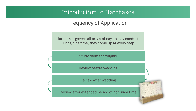Frequency of Application

Harchakos govern all areas of day-to-day conduct. During nida time, they come up at every step.

Study them thoroughly

Review before wedding

Review after wedding

Review after extended period of non-nida time

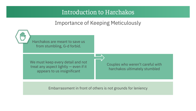#### Importance of Keeping Meticulously



Embarrassment in front of others is not grounds for leniency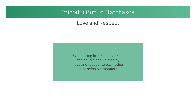#### Love and Respect

Even during time of harchakos, the couple should display love and respect to each other in permissible manners.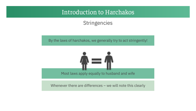#### **Stringencies**

By the laws of harchakos, we generally try to act stringently!



Whenever there are differences – we will note this clearly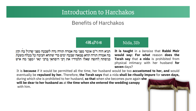#### Benefits of Harchakos

4%84768 Nida, 31b

תניא היה ר"מ אומר מפני מה אמרה תורה נדה לשבעה מפני שרגיל בה וקץ בה אמרה תורה תהא טמאה שבעה ימים כדי שתהא חביבה על בעלה כשעת כניסתה לחופה שאלו תלמידיו את רבי דוסתאי ברבי ינאי ימפני מה איש

**It is taught** in a *beraisa* that **Rabbi Meir would say: For what** reason **does the Torah say** that **a nida** is prohibited from physical intimacy with her husband **for seven** days?

It is **because** if it would be permitted all the time, her husband would be too **accustomed to her, and** would eventually be **repulsed by her.** Therefore, **the Torah says** that a nida **shall be ritually impure** for **seven days,**

during which she is prohibited to her husband, **so that** when she becomes pure again **she will be dear to her husband as** at **the time when she entered the wedding canopy** with him.

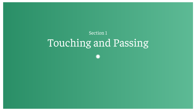## Touching and Passing Section 1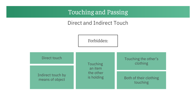Direct and Indirect Touch

Forbidden:

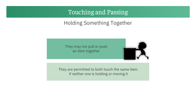#### Holding Something Together

They may not pull or push an item together



They are permitted to both touch the same item if neither one is holding or moving it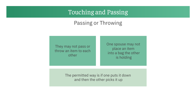#### Passing or Throwing

They may not pass or throw an item to each other

One spouse may not place an item into a bag the other is holding

The permitted way is if one puts it down and then the other picks it up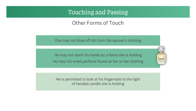Other Forms of Touch

One may not blow off dirt from the spouse's clothing

He may not warm his hands by a flame she is holding He may not smell perfume found on her or her clothing

oberto cava

He is permitted to look at his fingernails to the light of havdala candle she is holding